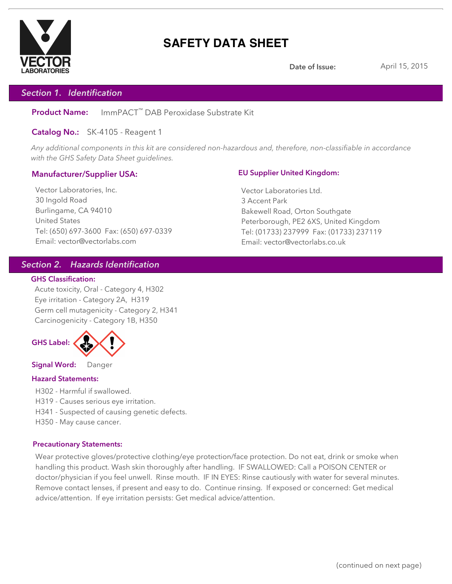

# **SAFETY DATA SHEET**

**Date of Issue:** April 15, 2015

## *Section 1. Identification*

**Product Name:** ImmPACT™ DAB Peroxidase Substrate Kit

**Catalog No.:** SK-4105 - Reagent 1

*Any additional components in this kit are considered non-hazardous and, therefore, non-classifiable in accordance with the GHS Safety Data Sheet guidelines.*

## **Manufacturer/Supplier USA:**

Vector Laboratories, Inc. 30 Ingold Road Burlingame, CA 94010 United States Tel: (650) 697-3600 Fax: (650) 697-0339 Email: vector@vectorlabs.com

## **EU Supplier United Kingdom:**

Vector Laboratories Ltd. 3 Accent Park Bakewell Road, Orton Southgate Peterborough, PE2 6XS, United Kingdom Tel: (01733) 237999 Fax: (01733) 237119 Email: vector@vectorlabs.co.uk

## *Section 2. Hazards Identification*

### **GHS Classification:**

Acute toxicity, Oral - Category 4, H302 Eye irritation - Category 2A, H319 Germ cell mutagenicity - Category 2, H341 Carcinogenicity - Category 1B, H350



**Signal Word:** Danger

## **Hazard Statements:**

- H302 Harmful if swallowed.
- H319 Causes serious eye irritation.
- H341 Suspected of causing genetic defects.
- H350 May cause cancer.

### **Precautionary Statements:**

Wear protective gloves/protective clothing/eye protection/face protection. Do not eat, drink or smoke when handling this product. Wash skin thoroughly after handling. IF SWALLOWED: Call a POISON CENTER or doctor/physician if you feel unwell. Rinse mouth. IF IN EYES: Rinse cautiously with water for several minutes. Remove contact lenses, if present and easy to do. Continue rinsing. If exposed or concerned: Get medical advice/attention. If eye irritation persists: Get medical advice/attention.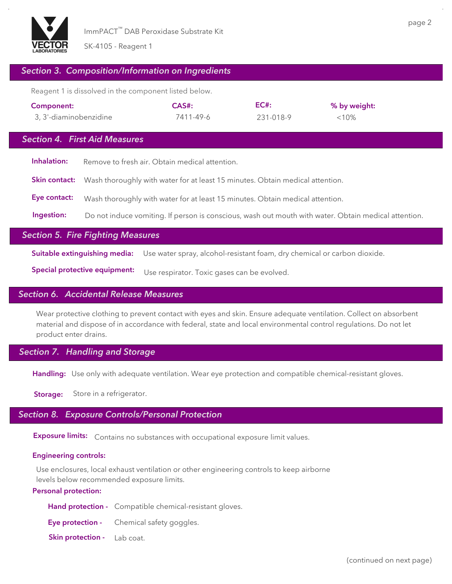

## *Section 3. Composition/Information on Ingredients*

Reagent 1 is dissolved in the component listed below.

| Component:             | CAS#:     | $EC#$ :   | % by weight: |
|------------------------|-----------|-----------|--------------|
| 3, 3'-diaminobenzidine | 7411-49-6 | 231-018-9 | $< 10\%$     |

## *Section 4. First Aid Measures*

| Remove to fresh air. Obtain medical attention.                                                       |
|------------------------------------------------------------------------------------------------------|
| <b>Skin contact:</b> Wash thoroughly with water for at least 15 minutes. Obtain medical attention.   |
| Wash thoroughly with water for at least 15 minutes. Obtain medical attention.                        |
| Do not induce vomiting. If person is conscious, wash out mouth with water. Obtain medical attention. |
|                                                                                                      |

## *Section 5. Fire Fighting Measures*

**Suitable extinguishing media:** Use water spray, alcohol-resistant foam, dry chemical or carbon dioxide.

**Special protective equipment:** Use respirator. Toxic gases can be evolved.

## *Section 6. Accidental Release Measures*

Wear protective clothing to prevent contact with eyes and skin. Ensure adequate ventilation. Collect on absorbent material and dispose of in accordance with federal, state and local environmental control regulations. Do not let product enter drains.

## *Section 7. Handling and Storage*

**Handling:** Use only with adequate ventilation. Wear eye protection and compatible chemical-resistant gloves.

**Storage:** Store in a refrigerator.

## *Section 8. Exposure Controls/Personal Protection*

**Exposure limits:** Contains no substances with occupational exposure limit values.

## **Engineering controls:**

Use enclosures, local exhaust ventilation or other engineering controls to keep airborne levels below recommended exposure limits.

## **Personal protection:**

- **Hand protection -** Compatible chemical-resistant gloves.
- **Eye protection -** Chemical safety goggles.
- **Skin protection -** Lab coat.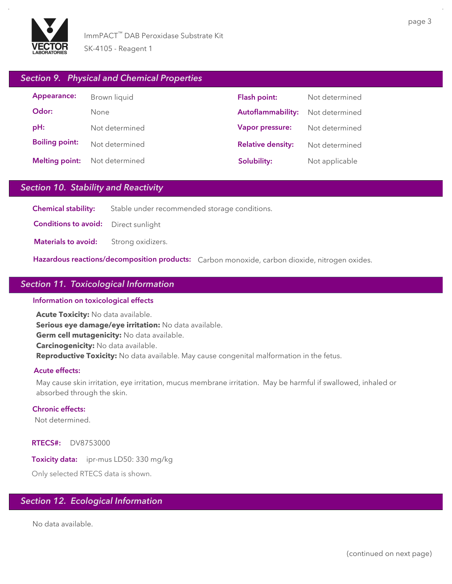

## *Section 9. Physical and Chemical Properties*

| Appearance:           | Brown liquid   |
|-----------------------|----------------|
| Odor:                 | None           |
| pH:                   | Not determined |
| <b>Boiling point:</b> | Not determined |
| <b>Melting point:</b> | Not determined |

| Flash point:             | Not determined |
|--------------------------|----------------|
| Autoflammability:        | Not determined |
| Vapor pressure:          | Not determined |
| <b>Relative density:</b> | Not determined |
| Solubility:              | Not applicable |

## *Section 10. Stability and Reactivity*

**Chemical stability:** Stable under recommended storage conditions.

**Conditions to avoid:** Direct sunlight

**Materials to avoid:** Strong oxidizers.

**Hazardous reactions/decomposition products:** Carbon monoxide, carbon dioxide, nitrogen oxides.

## *Section 11. Toxicological Information*

### **Information on toxicological effects**

**Acute Toxicity:** No data available. **Serious eye damage/eye irritation:** No data available. **Germ cell mutagenicity:** No data available. **Carcinogenicity:** No data available. **Reproductive Toxicity:** No data available. May cause congenital malformation in the fetus.

### **Acute effects:**

May cause skin irritation, eye irritation, mucus membrane irritation. May be harmful if swallowed, inhaled or absorbed through the skin.

### **Chronic effects:**

Not determined.

**RTECS#:** DV8753000

**Toxicity data:** ipr-mus LD50: 330 mg/kg

Only selected RTECS data is shown.

## *Section 12. Ecological Information*

No data available.